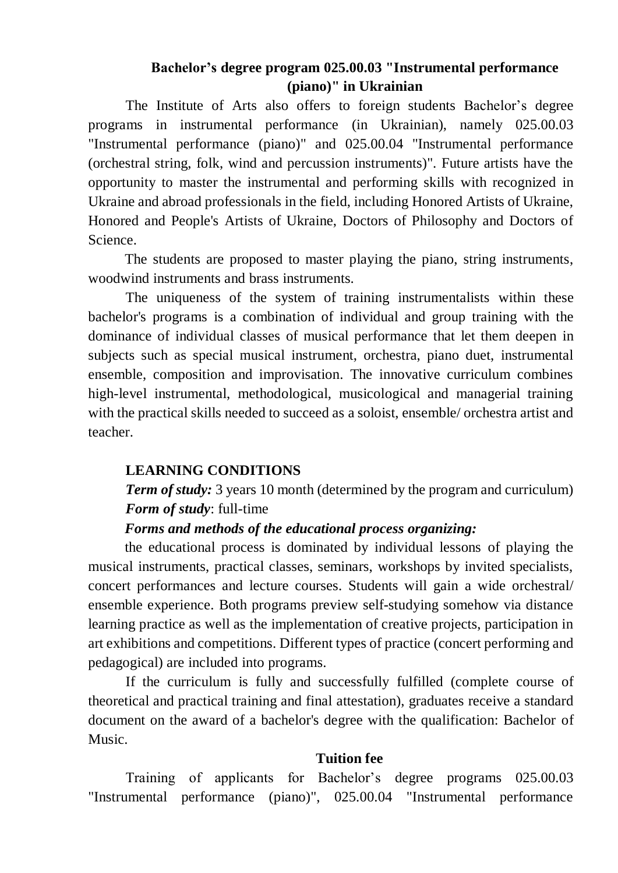# **Bachelor's degree program 025.00.03 "Instrumental performance (piano)" in Ukrainian**

The Institute of Arts also offers to foreign students Bachelor's degree programs in instrumental performance (in Ukrainian), namely 025.00.03 "Instrumental performance (piano)" and 025.00.04 "Instrumental performance (orchestral string, folk, wind and percussion instruments)". Future artists have the opportunity to master the instrumental and performing skills with recognized in Ukraine and abroad professionals in the field, including Honored Artists of Ukraine, Honored and People's Artists of Ukraine, Doctors of Philosophy and Doctors of Science.

The students are proposed to master playing the piano, string instruments, woodwind instruments and brass instruments.

The uniqueness of the system of training instrumentalists within these bachelor's programs is a combination of individual and group training with the dominance of individual classes of musical performance that let them deepen in subjects such as special musical instrument, orchestra, piano duet, instrumental ensemble, composition and improvisation. The innovative curriculum combines high-level instrumental, methodological, musicological and managerial training with the practical skills needed to succeed as a soloist, ensemble/ orchestra artist and teacher.

# **LEARNING CONDITIONS**

*Term of study:* 3 years 10 month (determined by the program and curriculum) *Form of study*: full-time

# *Forms and methods of the educational process organizing:*

the educational process is dominated by individual lessons of playing the musical instruments, practical classes, seminars, workshops by invited specialists, concert performances and lecture courses. Students will gain a wide orchestral/ ensemble experience. Both programs preview self-studying somehow via distance learning practice as well as the implementation of creative projects, participation in art exhibitions and competitions. Different types of practice (concert performing and pedagogical) are included into programs.

If the curriculum is fully and successfully fulfilled (complete course of theoretical and practical training and final attestation), graduates receive a standard document on the award of a bachelor's degree with the qualification: Bachelor of Music.

# **Tuition fee**

Training of applicants for Bachelor's degree programs 025.00.03 "Instrumental performance (piano)", 025.00.04 "Instrumental performance